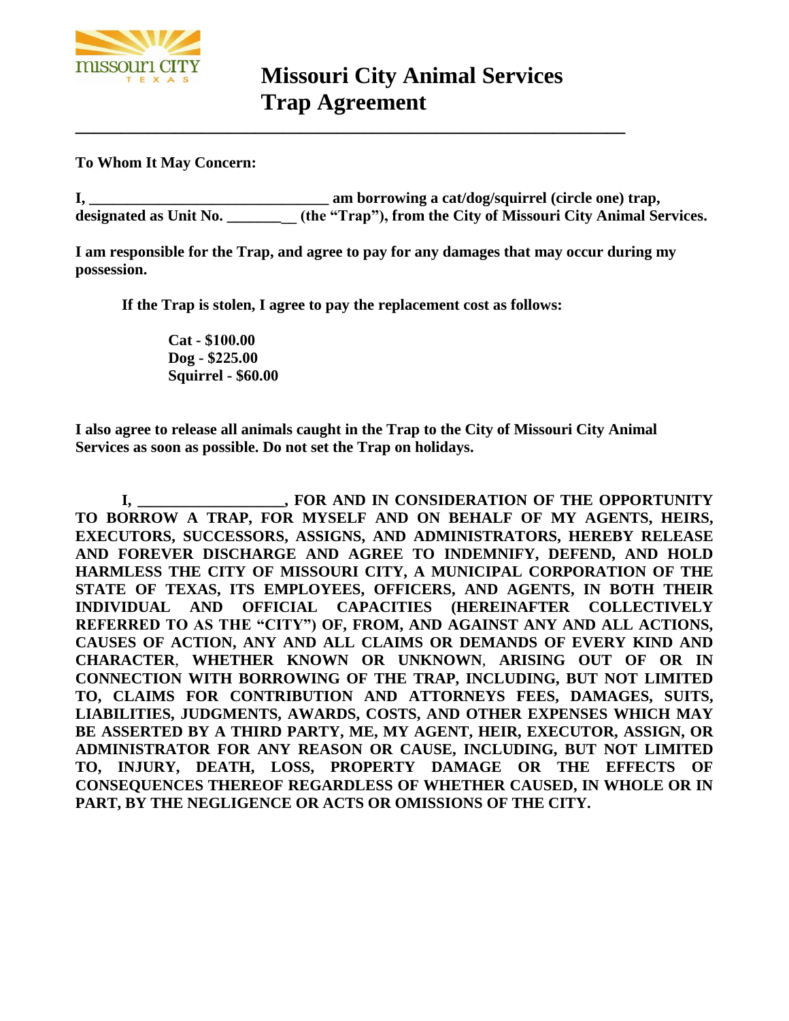

**To Whom It May Concern:** 

**I, \_\_\_\_\_\_\_\_\_\_\_\_\_\_\_\_\_\_\_\_\_\_\_\_\_\_\_\_\_\_\_ am borrowing a cat/dog/squirrel (circle one) trap, designated as Unit No. \_\_\_\_\_\_\_\_\_ (the "Trap"), from the City of Missouri City Animal Services.** 

**I am responsible for the Trap, and agree to pay for any damages that may occur during my possession.** 

**If the Trap is stolen, I agree to pay the replacement cost as follows:** 

**Cat - \$100.00 Dog - \$225.00 Squirrel - \$60.00** 

**I also agree to release all animals caught in the Trap to the City of Missouri City Animal Services as soon as possible. Do not set the Trap on holidays.** 

**I, \_\_\_\_\_\_\_\_\_\_\_\_\_\_\_\_\_\_\_, FOR AND IN CONSIDERATION OF THE OPPORTUNITY TO BORROW A TRAP, FOR MYSELF AND ON BEHALF OF MY AGENTS, HEIRS, EXECUTORS, SUCCESSORS, ASSIGNS, AND ADMINISTRATORS, HEREBY RELEASE AND FOREVER DISCHARGE AND AGREE TO INDEMNIFY, DEFEND, AND HOLD HARMLESS THE CITY OF MISSOURI CITY, A MUNICIPAL CORPORATION OF THE STATE OF TEXAS, ITS EMPLOYEES, OFFICERS, AND AGENTS, IN BOTH THEIR INDIVIDUAL AND OFFICIAL CAPACITIES (HEREINAFTER COLLECTIVELY REFERRED TO AS THE "CITY") OF, FROM, AND AGAINST ANY AND ALL ACTIONS, CAUSES OF ACTION, ANY AND ALL CLAIMS OR DEMANDS OF EVERY KIND AND CHARACTER**, **WHETHER KNOWN OR UNKNOWN**, **ARISING OUT OF OR IN CONNECTION WITH BORROWING OF THE TRAP, INCLUDING, BUT NOT LIMITED TO, CLAIMS FOR CONTRIBUTION AND ATTORNEYS FEES, DAMAGES, SUITS, LIABILITIES, JUDGMENTS, AWARDS, COSTS, AND OTHER EXPENSES WHICH MAY BE ASSERTED BY A THIRD PARTY, ME, MY AGENT, HEIR, EXECUTOR, ASSIGN, OR ADMINISTRATOR FOR ANY REASON OR CAUSE, INCLUDING, BUT NOT LIMITED TO, INJURY, DEATH, LOSS, PROPERTY DAMAGE OR THE EFFECTS OF CONSEQUENCES THEREOF REGARDLESS OF WHETHER CAUSED, IN WHOLE OR IN PART, BY THE NEGLIGENCE OR ACTS OR OMISSIONS OF THE CITY.**